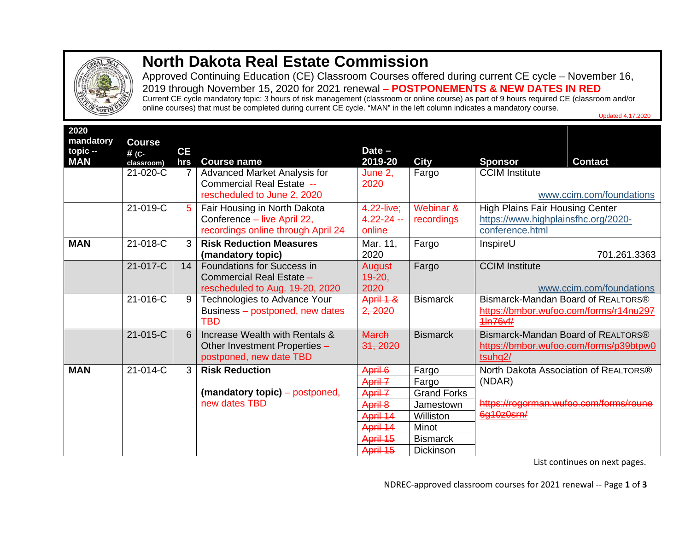

## **North Dakota Real Estate Commission**

Approved Continuing Education (CE) Classroom Courses offered during current CE cycle – November 16, 2019 through November 15, 2020 for 2021 renewal – **POSTPONEMENTS & NEW DATES IN RED** Current CE cycle mandatory topic: 3 hours of risk management (classroom or online course) as part of 9 hours required CE (classroom and/or

online courses) that must be completed during current CE cycle. "MAN" in the left column indicates a mandatory course.

| 2020<br>mandatory<br>$topic -$<br><b>MAN</b> | <b>Course</b><br># (C-<br>classroom) | <b>CE</b><br>hrs | <b>Course name</b>                                                                                | Date $-$<br>2019-20                         | <b>City</b>                                        | <b>Sponsor</b><br><b>Contact</b>                                                                     |
|----------------------------------------------|--------------------------------------|------------------|---------------------------------------------------------------------------------------------------|---------------------------------------------|----------------------------------------------------|------------------------------------------------------------------------------------------------------|
|                                              | 21-020-C                             |                  | <b>Advanced Market Analysis for</b><br>Commercial Real Estate --<br>rescheduled to June 2, 2020   | June 2,<br>2020                             | Fargo                                              | <b>CCIM Institute</b><br>www.ccim.com/foundations                                                    |
|                                              | 21-019-C                             |                  | Fair Housing in North Dakota<br>Conference - live April 22,<br>recordings online through April 24 | 4.22-live:<br>$4.22 - 24 -$<br>online       | Webinar &<br>recordings                            | <b>High Plains Fair Housing Center</b><br>https://www.highplainsfhc.org/2020-<br>conference.html     |
| <b>MAN</b>                                   | 21-018-C                             | 3                | <b>Risk Reduction Measures</b><br>(mandatory topic)                                               | Mar. 11.<br>2020                            | Fargo                                              | InspireU<br>701.261.3363                                                                             |
|                                              | 21-017-C                             | 14               | <b>Foundations for Success in</b><br>Commercial Real Estate -<br>rescheduled to Aug. 19-20, 2020  | August<br>$19-20,$<br>2020                  | Fargo                                              | <b>CCIM</b> Institute<br>www.ccim.com/foundations                                                    |
|                                              | 21-016-C                             | 9                | Technologies to Advance Your<br>Business - postponed, new dates<br><b>TBD</b>                     | April 1 &<br>2, 2020                        | <b>Bismarck</b>                                    | Bismarck-Mandan Board of REALTORS®<br>https://bmbor.wufoo.com/forms/r14nu297<br>4In76vf/             |
|                                              | 21-015-C                             | 6                | Increase Wealth with Rentals &<br>Other Investment Properties -<br>postponed, new date TBD        | <b>March</b><br>31, 2020                    | <b>Bismarck</b>                                    | Bismarck-Mandan Board of REALTORS®<br>https://bmbor.wufoo.com/forms/p39btpw0<br>tsuhg <sub>2</sub> / |
| <b>MAN</b>                                   | 21-014-C                             | 3                | <b>Risk Reduction</b><br>(mandatory topic) – postponed,                                           | April 6<br>April 7<br>April 7               | Fargo<br>Fargo<br><b>Grand Forks</b>               | North Dakota Association of REALTORS®<br>(NDAR)                                                      |
|                                              |                                      |                  | new dates TBD                                                                                     | April 8<br>April 14<br>April 14<br>April 15 | Jamestown<br>Williston<br>Minot<br><b>Bismarck</b> | https://rogorman.wufoo.com/forms/roune<br>6g10z0srn/                                                 |
|                                              |                                      |                  |                                                                                                   | April 15                                    | <b>Dickinson</b>                                   |                                                                                                      |

List continues on next pages.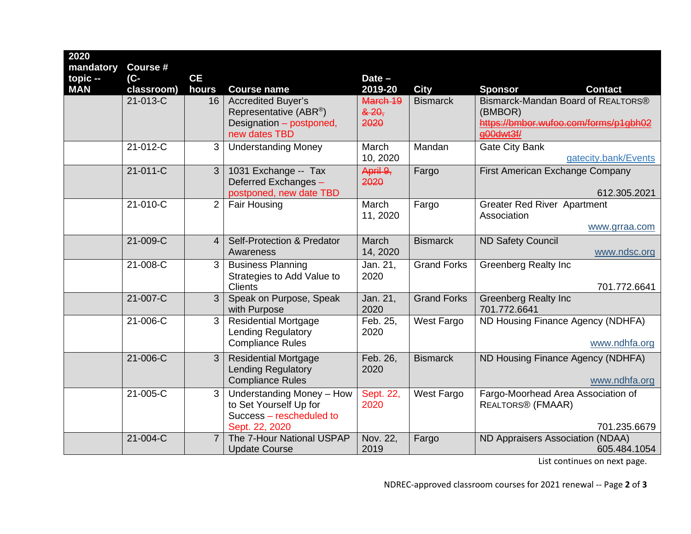| 2020<br>mandatory | Course #               |                |                                                          |                     |                    |                                                  |  |
|-------------------|------------------------|----------------|----------------------------------------------------------|---------------------|--------------------|--------------------------------------------------|--|
| $topic -$         | $(C -$                 | <b>CE</b>      |                                                          | $Date -$            |                    |                                                  |  |
| <b>MAN</b>        | classroom)<br>21-013-C | hours          | <b>Course name</b>                                       | 2019-20<br>March 19 | <b>City</b>        | <b>Sponsor</b><br><b>Contact</b>                 |  |
|                   |                        | 16             | <b>Accredited Buyer's</b><br>Representative (ABR®)       | & 20,               | <b>Bismarck</b>    | Bismarck-Mandan Board of REALTORS®<br>(BMBOR)    |  |
|                   |                        |                | Designation - postponed,                                 | 2020                |                    | https://bmbor.wufoo.com/forms/p1gbh02            |  |
|                   |                        |                | new dates TBD                                            |                     |                    | a00dwt3f/                                        |  |
|                   | 21-012-C               | 3              | <b>Understanding Money</b>                               | March               | Mandan             | <b>Gate City Bank</b>                            |  |
|                   |                        |                |                                                          | 10, 2020            |                    | gatecity.bank/Events                             |  |
|                   | 21-011-C               | 3              | 1031 Exchange -- Tax                                     | April 9,            | Fargo              | First American Exchange Company                  |  |
|                   |                        |                | Deferred Exchanges -<br>postponed, new date TBD          | 2020                |                    | 612.305.2021                                     |  |
|                   | 21-010-C               | 2              | <b>Fair Housing</b>                                      | March               | Fargo              | <b>Greater Red River Apartment</b>               |  |
|                   |                        |                |                                                          | 11, 2020            |                    | Association                                      |  |
|                   |                        |                |                                                          |                     |                    | www.grraa.com                                    |  |
|                   | 21-009-C               | $\overline{4}$ | <b>Self-Protection &amp; Predator</b>                    | March               | <b>Bismarck</b>    | <b>ND Safety Council</b>                         |  |
|                   |                        |                | Awareness                                                | 14, 2020            |                    | www.ndsc.org                                     |  |
|                   | 21-008-C               | 3              | <b>Business Planning</b>                                 | Jan. 21,            | <b>Grand Forks</b> | <b>Greenberg Realty Inc</b>                      |  |
|                   |                        |                | Strategies to Add Value to<br><b>Clients</b>             | 2020                |                    | 701.772.6641                                     |  |
|                   | 21-007-C               | 3              | Speak on Purpose, Speak                                  | Jan. 21,            | <b>Grand Forks</b> | <b>Greenberg Realty Inc</b>                      |  |
|                   |                        |                | with Purpose                                             | 2020                |                    | 701.772.6641                                     |  |
|                   | 21-006-C               | 3              | <b>Residential Mortgage</b>                              | Feb. 25,            | West Fargo         | ND Housing Finance Agency (NDHFA)                |  |
|                   |                        |                | <b>Lending Regulatory</b><br><b>Compliance Rules</b>     | 2020                |                    | www.ndhfa.org                                    |  |
|                   |                        |                |                                                          |                     |                    |                                                  |  |
|                   | 21-006-C               | 3              | <b>Residential Mortgage</b><br><b>Lending Regulatory</b> | Feb. 26,<br>2020    | <b>Bismarck</b>    | ND Housing Finance Agency (NDHFA)                |  |
|                   |                        |                | <b>Compliance Rules</b>                                  |                     |                    | www.ndhfa.org                                    |  |
|                   | 21-005-C               | 3              | Understanding Money - How                                | Sept. 22,           | West Fargo         | Fargo-Moorhead Area Association of               |  |
|                   |                        |                | to Set Yourself Up for                                   | 2020                |                    | <b>REALTORS® (FMAAR)</b>                         |  |
|                   |                        |                | Success - rescheduled to                                 |                     |                    |                                                  |  |
|                   | 21-004-C               | $\overline{7}$ | Sept. 22, 2020<br>The 7-Hour National USPAP              |                     |                    | 701.235.6679                                     |  |
|                   |                        |                | <b>Update Course</b>                                     | Nov. 22,<br>2019    | Fargo              | ND Appraisers Association (NDAA)<br>605.484.1054 |  |
|                   |                        |                |                                                          |                     |                    |                                                  |  |

List continues on next page.